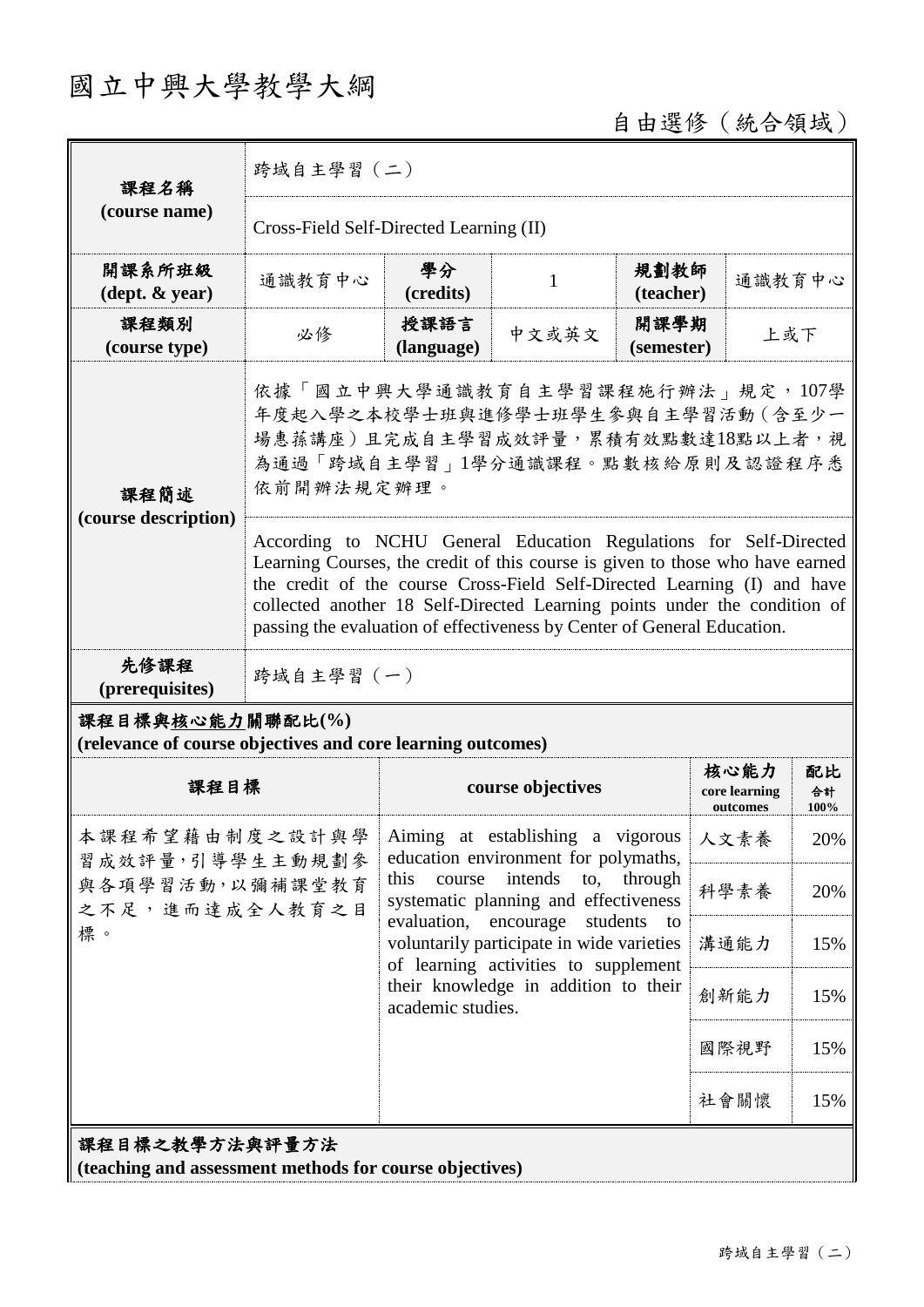## 國立中興大學教學大綱

自由選修(統合領域)

| 課程名稱<br>(course name)                                                           | 跨域自主學習 (二)                                                                                                                                                                                                                                                                                                                                                                             |                                                                                                                                                                                                                                                                                                                                                                                           |       |                    |                                   |                  |  |
|---------------------------------------------------------------------------------|----------------------------------------------------------------------------------------------------------------------------------------------------------------------------------------------------------------------------------------------------------------------------------------------------------------------------------------------------------------------------------------|-------------------------------------------------------------------------------------------------------------------------------------------------------------------------------------------------------------------------------------------------------------------------------------------------------------------------------------------------------------------------------------------|-------|--------------------|-----------------------------------|------------------|--|
|                                                                                 | Cross-Field Self-Directed Learning (II)                                                                                                                                                                                                                                                                                                                                                |                                                                                                                                                                                                                                                                                                                                                                                           |       |                    |                                   |                  |  |
| 開課系所班級<br>$(\text{dept.} \& \text{ year})$                                      | 通識教育中心                                                                                                                                                                                                                                                                                                                                                                                 | 學分<br>(credits)                                                                                                                                                                                                                                                                                                                                                                           | 1     | 規劃教師<br>(teacher)  | 通識教育中心                            |                  |  |
| 課程類別<br>(course type)                                                           | 必修                                                                                                                                                                                                                                                                                                                                                                                     | 授課語言<br>(language)                                                                                                                                                                                                                                                                                                                                                                        | 中文或英文 | 開課學期<br>(semester) | 上或下                               |                  |  |
| 課程簡述<br>(course description)                                                    | 依據「國立中興大學通識教育自主學習課程施行辦法」規定,107學<br>年度起入學之本校學士班與進修學士班學生參與自主學習活動(含至少一<br>場惠蓀講座)且完成自主學習成效評量,累積有效點數達18點以上者,視<br>為通過「跨域自主學習」1學分通識課程。點數核給原則及認證程序悉<br>依前開辦法規定辦理。                                                                                                                                                                                                                              |                                                                                                                                                                                                                                                                                                                                                                                           |       |                    |                                   |                  |  |
|                                                                                 | According to NCHU General Education Regulations for Self-Directed<br>Learning Courses, the credit of this course is given to those who have earned<br>the credit of the course Cross-Field Self-Directed Learning (I) and have<br>collected another 18 Self-Directed Learning points under the condition of<br>passing the evaluation of effectiveness by Center of General Education. |                                                                                                                                                                                                                                                                                                                                                                                           |       |                    |                                   |                  |  |
| 先修課程<br>(prerequisites)                                                         | 跨域自主學習 (一)                                                                                                                                                                                                                                                                                                                                                                             |                                                                                                                                                                                                                                                                                                                                                                                           |       |                    |                                   |                  |  |
| 課程目標與核心能力關聯配比(%)<br>(relevance of course objectives and core learning outcomes) |                                                                                                                                                                                                                                                                                                                                                                                        |                                                                                                                                                                                                                                                                                                                                                                                           |       |                    |                                   |                  |  |
| 課程目標                                                                            |                                                                                                                                                                                                                                                                                                                                                                                        | course objectives                                                                                                                                                                                                                                                                                                                                                                         |       |                    | 核心能力<br>core learning<br>outcomes | 配比<br>合計<br>100% |  |
| 習成效評量,引導學生主動規劃參<br>與各項學習活動,以彌補課堂教育<br>之不足,進而達成全人教育之目<br>標。                      |                                                                                                                                                                                                                                                                                                                                                                                        | 本課程希望藉由制度之設計與學   Aiming at establishing a vigorous   人文素養<br>education environment for polymaths,<br>intends<br>this<br>course<br>to,<br>through<br>systematic planning and effectiveness<br>evaluation,<br>encourage<br>students<br>to<br>voluntarily participate in wide varieties<br>of learning activities to supplement<br>their knowledge in addition to their<br>academic studies. |       |                    |                                   | 20%              |  |
|                                                                                 |                                                                                                                                                                                                                                                                                                                                                                                        |                                                                                                                                                                                                                                                                                                                                                                                           |       |                    | 科學素養                              | 20%              |  |
|                                                                                 |                                                                                                                                                                                                                                                                                                                                                                                        |                                                                                                                                                                                                                                                                                                                                                                                           |       |                    | 溝通能力                              | 15%              |  |
|                                                                                 |                                                                                                                                                                                                                                                                                                                                                                                        |                                                                                                                                                                                                                                                                                                                                                                                           |       |                    | 創新能力                              | 15%              |  |
|                                                                                 |                                                                                                                                                                                                                                                                                                                                                                                        |                                                                                                                                                                                                                                                                                                                                                                                           |       |                    | 國際視野                              | 15%              |  |
|                                                                                 |                                                                                                                                                                                                                                                                                                                                                                                        |                                                                                                                                                                                                                                                                                                                                                                                           |       |                    | 社會關懷                              | 15%              |  |
| 課程目標之教學方法與評量方法<br>(teaching and assessment methods for course objectives)       |                                                                                                                                                                                                                                                                                                                                                                                        |                                                                                                                                                                                                                                                                                                                                                                                           |       |                    |                                   |                  |  |